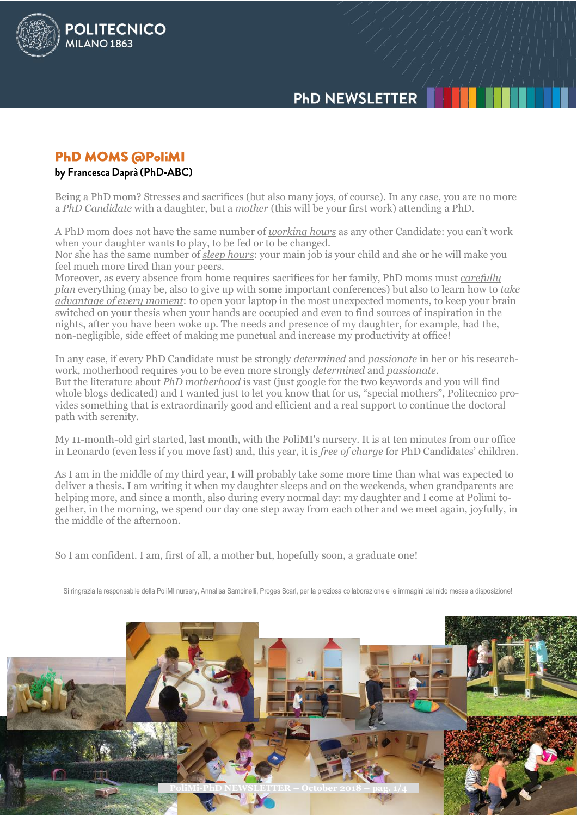# **PHD NEWSLETTER**

## **PHD MOMS @PoliMI**

POLITECNICO

**MILANO 1863** 

#### by Francesca Daprà (PhD-ABC)

Being a PhD mom? Stresses and sacrifices (but also many joys, of course). In any case, you are no more a *PhD Candidate* with a daughter, but a *mother* (this will be your first work) attending a PhD.

A PhD mom does not have the same number of *working hours* as any other Candidate: you can't work when your daughter wants to play, to be fed or to be changed.

Nor she has the same number of *sleep hours*: your main job is your child and she or he will make you feel much more tired than your peers.

Moreover, as every absence from home requires sacrifices for her family, PhD moms must *carefully plan* everything (may be, also to give up with some important conferences) but also to learn how to *take advantage of every moment*: to open your laptop in the most unexpected moments, to keep your brain switched on your thesis when your hands are occupied and even to find sources of inspiration in the nights, after you have been woke up. The needs and presence of my daughter, for example, had the, non-negligible, side effect of making me punctual and increase my productivity at office!

In any case, if every PhD Candidate must be strongly *determined* and *passionate* in her or his researchwork, motherhood requires you to be even more strongly *determined* and *passionate*. But the literature about *PhD motherhood* is vast (just google for the two keywords and you will find whole blogs dedicated) and I wanted just to let you know that for us, "special mothers", Politecnico provides something that is extraordinarily good and efficient and a real support to continue the doctoral path with serenity.

My 11-month-old girl started, last month, with the PoliMI's nursery. It is at ten minutes from our office in Leonardo (even less if you move fast) and, this year, it is *free of charge* for PhD Candidates' children.

As I am in the middle of my third year, I will probably take some more time than what was expected to deliver a thesis. I am writing it when my daughter sleeps and on the weekends, when grandparents are helping more, and since a month, also during every normal day: my daughter and I come at Polimi together, in the morning, we spend our day one step away from each other and we meet again, joyfully, in the middle of the afternoon.

So I am confident. I am, first of all, a mother but, hopefully soon, a graduate one!

Si ringrazia la responsabile della PoliMI nursery, Annalisa Sambinelli, Proges Scarl, per la preziosa collaborazione e le immagini del nido messe a disposizione!

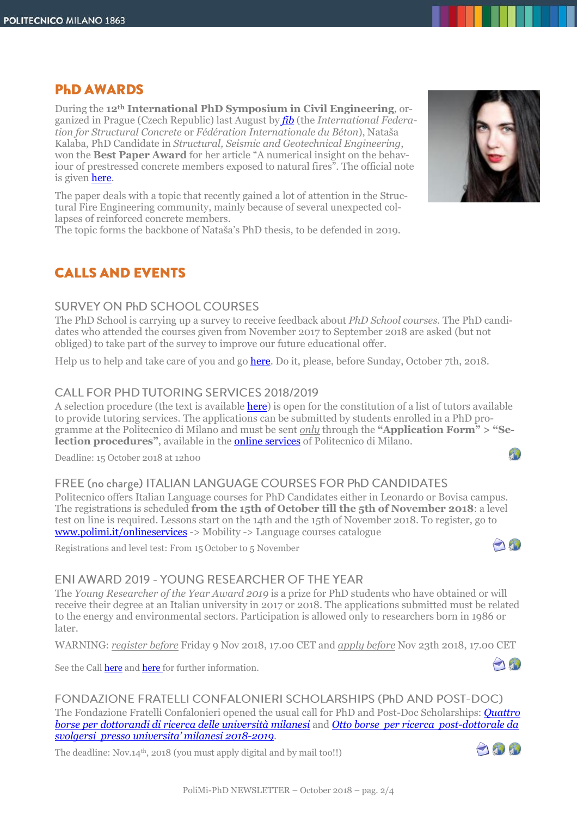## **PHD AWARDS**

During the **12th International PhD Symposium in Civil Engineering**, organized in Prague (Czech Republic) last August by *[fib](https://www.fib-international.org/)* (the *International Federation for Structural Concrete* or *Fédération Internationale du Béton*), Nataša Kalaba, PhD Candidate in *Structural, Seismic and Geotechnical Engineering*, won the **Best Paper Award** for her article "A numerical insight on the behaviour of prestressed concrete members exposed to natural fires". The official note is given [here.](https://www.fib-international.org/blog/347-fib-phd-symposium-in-prague.html)

The paper deals with a topic that recently gained a lot of attention in the Structural Fire Engineering community, mainly because of several unexpected collapses of reinforced concrete members.

The topic forms the backbone of Nataša's PhD thesis, to be defended in 2019.

# **CALLS AND EVENTS**

#### **SURVEY ON PHD SCHOOL COURSES**

The PhD School is carrying up a survey to receive feedback about *PhD School courses.* The PhD candidates who attended the courses given from November 2017 to September 2018 are asked (but not obliged) to take part of the survey to improve our future educational offer.

Help us to help and take care of you and go [here.](https://goo.gl/forms/stcgTfUbBRHZPO7l2) Do it, please, before Sunday, October 7th, 2018.

### CALL FOR PHD TUTORING SERVICES 2018/2019

A selection procedure (the text is available [here\)](http://www.dottorato.polimi.it/en/during-your-phd/tutors-20182019/) is open for the constitution of a list of tutors available to provide tutoring services. The applications can be submitted by students enrolled in a PhD programme at the Politecnico di Milano and must be sent *only* through the **"Application Form" > "Selection procedures"**, available in the online [services](https://www.polimi.it/onlineservices) of Politecnico di Milano.

Deadline: 15 October 2018 at 12h00

#### FREE (no charge) ITALIAN LANGUAGE COURSES FOR PhD CANDIDATES

Politecnico offers Italian Language courses for PhD Candidates either in Leonardo or Bovisa campus. The registrations is scheduled **from the 15th of October till the 5th of November 2018**: a level test on line is required. Lessons start on the 14th and the 15th of November 2018. To register, go to [www.polimi.it/onlineservices](http://www.polimi.it/onlineservices) -> Mobility -> Language courses catalogue  $\bigcap$ 

Registrations and level test: From 15 October to 5 November

### ENI AWARD 2019 - YOUNG RESEARCHER OF THE YEAR

The *Young Researcher of the Year Award 2019* is a prize for PhD students who have obtained or will receive their degree at an Italian university in 2017 or 2018. The applications submitted must be related to the energy and environmental sectors. Participation is allowed only to researchers born in 1986 or later.

WARNING: *register before* Friday 9 Nov 2018, 17.00 CET and *apply before* Nov 23th 2018, 17.00 CET

See the Call [here](http://www.dottorato.polimi.it/fileadmin/files/dottorato/newsletter/allegati/2018-10/EA2019_-_Bando_Giovane_Ricercatore_dell_Anno.pdf) and here for further information.

**FONDAZIONE FRATELLI CONFALONIERI SCHOLARSHIPS (PhD AND POST-DOC)** The Fondazione Fratelli Confalonieri opened the usual call for PhD and Post-Doc Scholarships: *[Quattro](http://www.fondazionefratelliconfalonieri.it/files/Bando%20Dottorandi%202018-2019.pdf)  [borse per dottorandi di ricerca delle università milanesi](http://www.fondazionefratelliconfalonieri.it/files/Bando%20Dottorandi%202018-2019.pdf)* and *[Otto borse per ricerca post-dottorale da](http://www.fondazionefratelliconfalonieri.it/files/Bando%20Post-Doc%202018-2019.pdf)  [svolgersi presso universita' milanesi 2018](http://www.fondazionefratelliconfalonieri.it/files/Bando%20Post-Doc%202018-2019.pdf)-2019*.

The deadline: Nov.14<sup>th</sup>, 2018 (you must apply digital and by mail too!!)





AN

 $\mathcal{P}$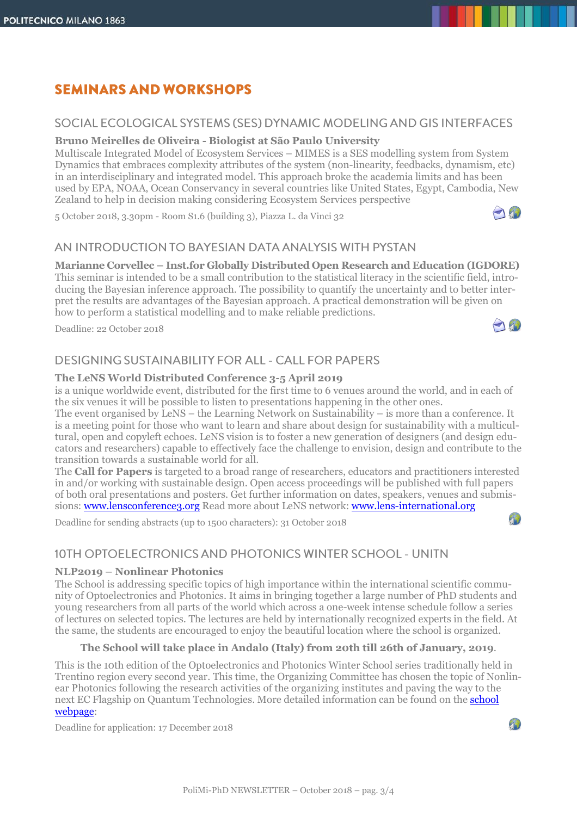# **SEMINARS AND WORKSHOPS**

#### SOCIAL ECOLOGICAL SYSTEMS (SES) DYNAMIC MODELING AND GIS INTERFACES

#### **Bruno Meirelles de Oliveira - Biologist at São Paulo University**

Multiscale Integrated Model of Ecosystem Services – MIMES is a SES modelling system from System Dynamics that embraces complexity attributes of the system (non-linearity, feedbacks, dynamism, etc) in an interdisciplinary and integrated model. This approach broke the academia limits and has been used by EPA, NOAA, Ocean Conservancy in several countries like United States, Egypt, Cambodia, New Zealand to help in decision making considering Ecosystem Services perspective

5 October 2018, 3.30pm - Room S1.6 (building 3), Piazza L. da Vinci 32

#### AN INTRODUCTION TO BAYESIAN DATA ANALYSIS WITH PYSTAN

**Marianne Corvellec – Inst.for Globally Distributed Open Research and Education (IGDORE)**

This seminar is intended to be a small contribution to the statistical literacy in the scientific field, introducing the Bayesian inference approach. The possibility to quantify the uncertainty and to better interpret the results are advantages of the Bayesian approach. A practical demonstration will be given on how to perform a statistical modelling and to make reliable predictions.

Deadline: 22 October 2018

### **DESIGNING SUSTAINABILITY FOR ALL - CALL FOR PAPERS**

#### **The LeNS World Distributed Conference 3-5 April 2019**

is a unique worldwide event, distributed for the first time to 6 venues around the world, and in each of the six venues it will be possible to listen to presentations happening in the other ones.

The event organised by LeNS – the Learning Network on Sustainability – is more than a conference. It is a meeting point for those who want to learn and share about design for sustainability with a multicultural, open and copyleft echoes. LeNS vision is to foster a new generation of designers (and design educators and researchers) capable to effectively face the challenge to envision, design and contribute to the transition towards a sustainable world for all.

The **Call for Papers** is targeted to a broad range of researchers, educators and practitioners interested in and/or working with sustainable design. Open access proceedings will be published with full papers of both oral presentations and posters. Get further information on dates, speakers, venues and submissions: [www.lensconference3.org](http://www.lensconference3.org/) Read more about LeNS network: [www.lens-international.org](http://www.lens-international.org/)

Deadline for sending abstracts (up to 1500 characters): 31 October 2018

## 10TH OPTOELECTRONICS AND PHOTONICS WINTER SCHOOL - UNITN

#### **NLP2019 – Nonlinear Photonics**

The School is addressing specific topics of high importance within the international scientific community of Optoelectronics and Photonics. It aims in bringing together a large number of PhD students and young researchers from all parts of the world which across a one-week intense schedule follow a series of lectures on selected topics. The lectures are held by internationally recognized experts in the field. At the same, the students are encouraged to enjoy the beautiful location where the school is organized.

#### **The School will take place in Andalo (Italy) from 20th till 26th of January, 2019**.

This is the 10th edition of the Optoelectronics and Photonics Winter School series traditionally held in Trentino region every second year. This time, the Organizing Committee has chosen the topic of Nonlinear Photonics following the research activities of the organizing institutes and paving the way to the next EC Flagship on Quantum Technologies. More detailed information can be found on the **[school](https://event.unitn.it/nlp2019/)** [webpage:](https://event.unitn.it/nlp2019/)

Deadline for application: 17 December 2018









AW